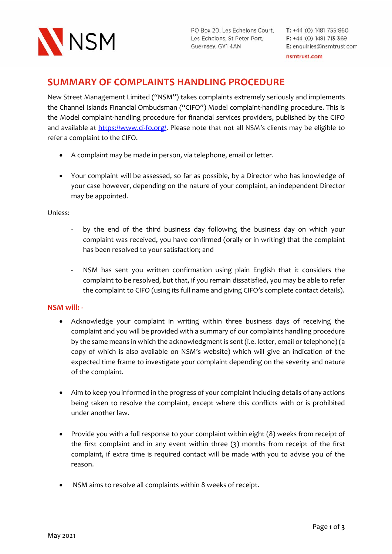

PO Box 20, Les Echelons Court, T: +44 (0) 1481 755 860 Les Echelons, St Peter Port, F: +44 (0) 1481 713 369 Guernsey, GY1 4AN

## **SUMMARY OF COMPLAINTS HANDLING PROCEDURE**

New Street Management Limited ("NSM") takes complaints extremely seriously and implements the Channel Islands Financial Ombudsman ("CIFO") Model complaint-handling procedure. This is the Model complaint-handling procedure for financial services providers, published by the CIFO and available at https://www.ci-fo.org/. Please note that not all NSM's clients may be eligible to refer a complaint to the CIFO.

- A complaint may be made in person, via telephone, email or letter.
- Your complaint will be assessed, so far as possible, by a Director who has knowledge of your case however, depending on the nature of your complaint, an independent Director may be appointed.

## Unless:

- by the end of the third business day following the business day on which your complaint was received, you have confirmed (orally or in writing) that the complaint has been resolved to your satisfaction; and
- NSM has sent you written confirmation using plain English that it considers the complaint to be resolved, but that, if you remain dissatisfied, you may be able to refer the complaint to CIFO (using its full name and giving CIFO's complete contact details).

## **NSM will: -**

- Acknowledge your complaint in writing within three business days of receiving the complaint and you will be provided with a summary of our complaints handling procedure by the same means in which the acknowledgment is sent (i.e. letter, email or telephone) (a copy of which is also available on NSM's website) which will give an indication of the expected time frame to investigate your complaint depending on the severity and nature of the complaint.
- Aim to keep you informed in the progress of your complaint including details of any actions being taken to resolve the complaint, except where this conflicts with or is prohibited under another law.
- Provide you with a full response to your complaint within eight (8) weeks from receipt of the first complaint and in any event within three (3) months from receipt of the first complaint, if extra time is required contact will be made with you to advise you of the reason.
- NSM aims to resolve all complaints within 8 weeks of receipt.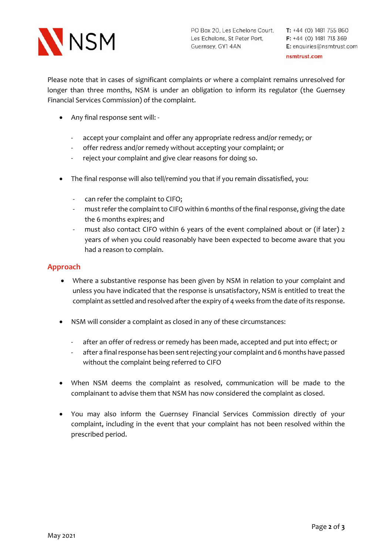

PO Box 20, Les Echelons Court, T: +44 (0) 1481 755 860 Les Echelons, St Peter Port, F: +44 (0) 1481 713 369 Guernsey, GY1 4AN

Please note that in cases of significant complaints or where a complaint remains unresolved for longer than three months, NSM is under an obligation to inform its regulator (the Guernsey Financial Services Commission) of the complaint.

- Any final response sent will:
	- accept your complaint and offer any appropriate redress and/or remedy; or
	- offer redress and/or remedy without accepting your complaint; or
	- reject your complaint and give clear reasons for doing so.
- The final response will also tell/remind you that if you remain dissatisfied, you:
	- can refer the complaint to CIFO;
	- must refer the complaint to CIFO within 6 months of the final response, giving the date the 6 months expires; and
	- must also contact CIFO within 6 years of the event complained about or (if later) 2 years of when you could reasonably have been expected to become aware that you had a reason to complain.

## **Approach**

- Where a substantive response has been given by NSM in relation to your complaint and unless you have indicated that the response is unsatisfactory, NSM is entitled to treat the complaint as settled and resolved after the expiry of 4 weeks from the date of its response.
- NSM will consider a complaint as closed in any of these circumstances:
	- after an offer of redress or remedy has been made, accepted and put into effect; or
	- after a final response has been sent rejecting your complaint and 6 months have passed without the complaint being referred to CIFO
- When NSM deems the complaint as resolved, communication will be made to the complainant to advise them that NSM has now considered the complaint as closed.
- You may also inform the Guernsey Financial Services Commission directly of your complaint, including in the event that your complaint has not been resolved within the prescribed period.